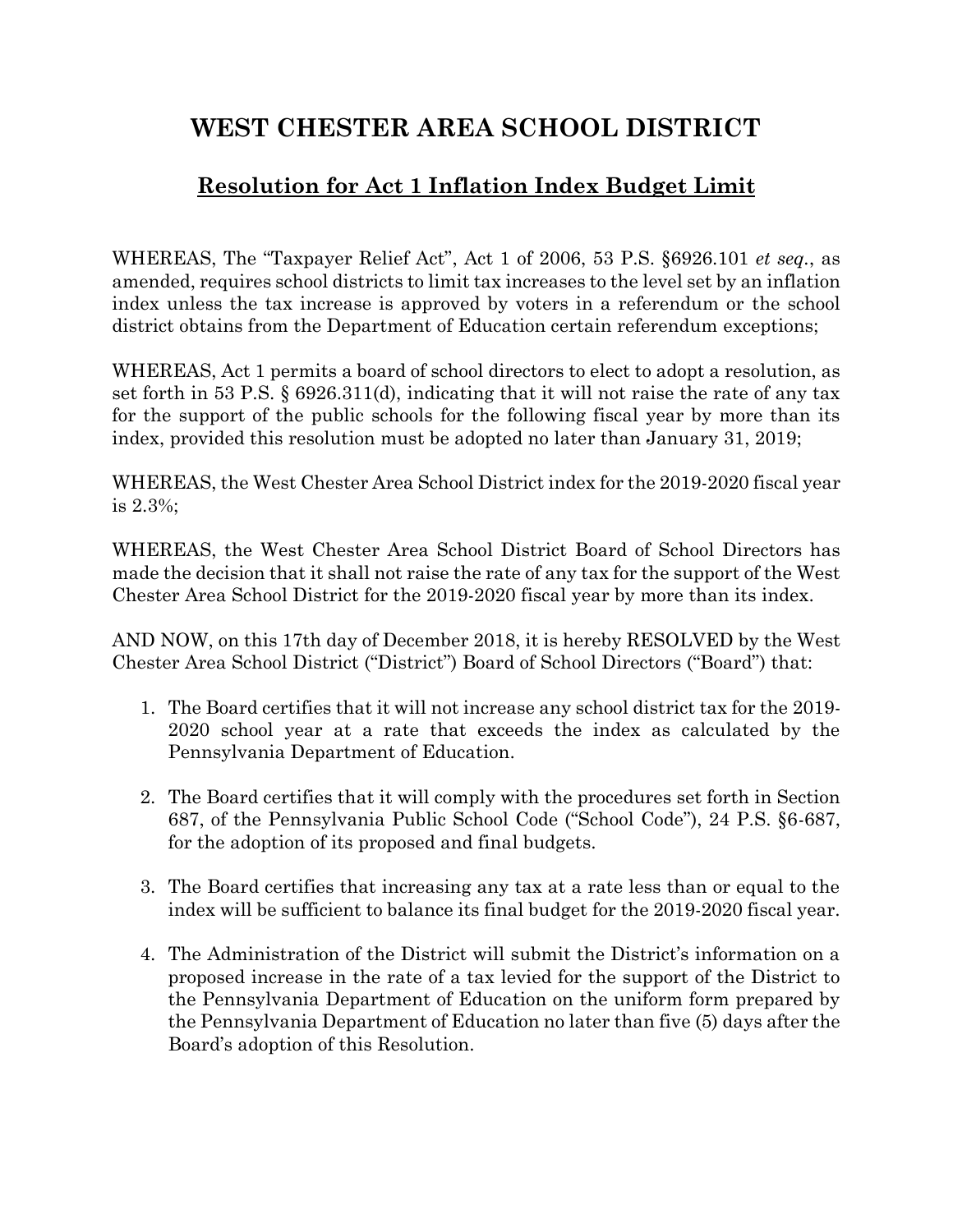## **WEST CHESTER AREA SCHOOL DISTRICT**

## **Resolution for Act 1 Inflation Index Budget Limit**

WHEREAS, The "Taxpayer Relief Act", Act 1 of 2006, 53 P.S. §6926.101 *et seq.*, as amended, requires school districts to limit tax increases to the level set by an inflation index unless the tax increase is approved by voters in a referendum or the school district obtains from the Department of Education certain referendum exceptions;

WHEREAS, Act 1 permits a board of school directors to elect to adopt a resolution, as set forth in 53 P.S. § 6926.311(d), indicating that it will not raise the rate of any tax for the support of the public schools for the following fiscal year by more than its index, provided this resolution must be adopted no later than January 31, 2019;

WHEREAS, the West Chester Area School District index for the 2019-2020 fiscal year is 2.3%;

WHEREAS, the West Chester Area School District Board of School Directors has made the decision that it shall not raise the rate of any tax for the support of the West Chester Area School District for the 2019-2020 fiscal year by more than its index.

AND NOW, on this 17th day of December 2018, it is hereby RESOLVED by the West Chester Area School District ("District") Board of School Directors ("Board") that:

- 1. The Board certifies that it will not increase any school district tax for the 2019- 2020 school year at a rate that exceeds the index as calculated by the Pennsylvania Department of Education.
- 2. The Board certifies that it will comply with the procedures set forth in Section 687, of the Pennsylvania Public School Code ("School Code"), 24 P.S. §6-687, for the adoption of its proposed and final budgets.
- 3. The Board certifies that increasing any tax at a rate less than or equal to the index will be sufficient to balance its final budget for the 2019-2020 fiscal year.
- 4. The Administration of the District will submit the District's information on a proposed increase in the rate of a tax levied for the support of the District to the Pennsylvania Department of Education on the uniform form prepared by the Pennsylvania Department of Education no later than five (5) days after the Board's adoption of this Resolution.